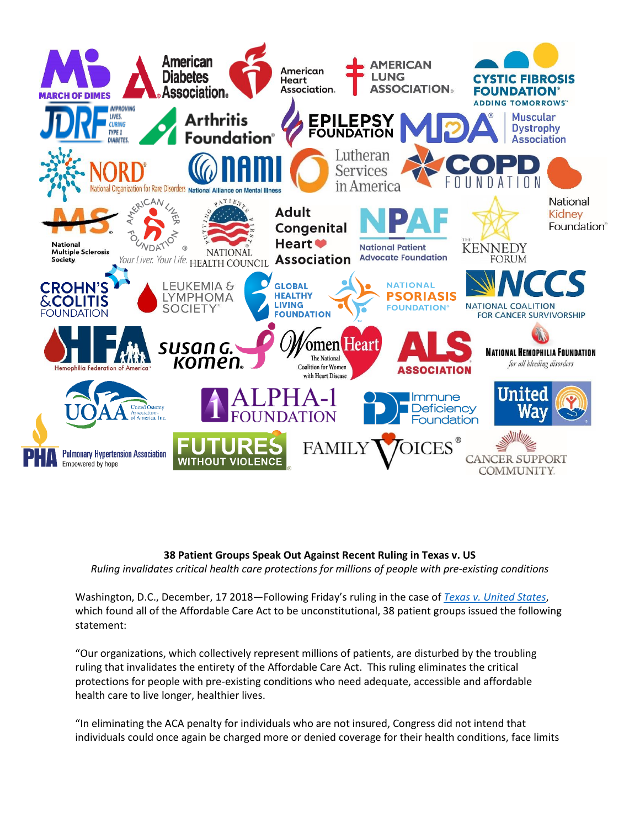

## **38 Patient Groups Speak Out Against Recent Ruling in Texas v. US** *Ruling invalidates critical health care protections for millions of people with pre-existing conditions*

Washington, D.C., December, 17 2018—Following Friday's ruling in the case of *Texas v. [United States](https://www.courtlistener.com/docket/6321938/texas-v-united-states-of-america/?page=1)*, which found all of the Affordable Care Act to be unconstitutional, 38 patient groups issued the following statement:

"Our organizations, which collectively represent millions of patients, are disturbed by the troubling ruling that invalidates the entirety of the Affordable Care Act. This ruling eliminates the critical protections for people with pre-existing conditions who need adequate, accessible and affordable health care to live longer, healthier lives.

"In eliminating the ACA penalty for individuals who are not insured, Congress did not intend that individuals could once again be charged more or denied coverage for their health conditions, face limits